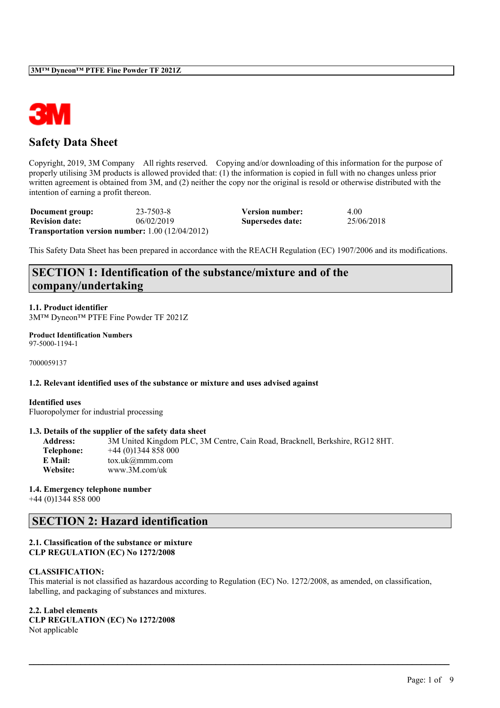

## **Safety Data Sheet**

Copyright, 2019, 3M Company All rights reserved. Copying and/or downloading of this information for the purpose of properly utilising 3M products is allowed provided that: (1) the information is copied in full with no changes unless prior written agreement is obtained from 3M, and (2) neither the copy nor the original is resold or otherwise distributed with the intention of earning a profit thereon.

| Document group:       | 23-7503-8                                                 | Version number:  | 4.00       |
|-----------------------|-----------------------------------------------------------|------------------|------------|
| <b>Revision date:</b> | 06/02/2019                                                | Supersedes date: | 25/06/2018 |
|                       | <b>Transportation version number:</b> $1.00 (12/04/2012)$ |                  |            |

This Safety Data Sheet has been prepared in accordance with the REACH Regulation (EC) 1907/2006 and its modifications.

# **SECTION 1: Identification of the substance/mixture and of the company/undertaking**

**1.1. Product identifier** 3M™ Dyneon™ PTFE Fine Powder TF 2021Z

**Product Identification Numbers** 97-5000-1194-1

7000059137

### **1.2. Relevant identified uses of the substance or mixture and uses advised against**

#### **Identified uses**

Fluoropolymer for industrial processing

#### **1.3. Details of the supplier of the safety data sheet**

**Address:** 3M United Kingdom PLC, 3M Centre, Cain Road, Bracknell, Berkshire, RG12 8HT. **Telephone:** +44 (0)1344 858 000 **E Mail:** tox.uk@mmm.com **Website:** www.3M.com/uk

#### **1.4. Emergency telephone number**

+44 (0)1344 858 000

# **SECTION 2: Hazard identification**

## **2.1. Classification of the substance or mixture CLP REGULATION (EC) No 1272/2008**

#### **CLASSIFICATION:**

This material is not classified as hazardous according to Regulation (EC) No. 1272/2008, as amended, on classification, labelling, and packaging of substances and mixtures.

 $\mathcal{L}_\mathcal{L} = \mathcal{L}_\mathcal{L} = \mathcal{L}_\mathcal{L} = \mathcal{L}_\mathcal{L} = \mathcal{L}_\mathcal{L} = \mathcal{L}_\mathcal{L} = \mathcal{L}_\mathcal{L} = \mathcal{L}_\mathcal{L} = \mathcal{L}_\mathcal{L} = \mathcal{L}_\mathcal{L} = \mathcal{L}_\mathcal{L} = \mathcal{L}_\mathcal{L} = \mathcal{L}_\mathcal{L} = \mathcal{L}_\mathcal{L} = \mathcal{L}_\mathcal{L} = \mathcal{L}_\mathcal{L} = \mathcal{L}_\mathcal{L}$ 

### **2.2. Label elements**

**CLP REGULATION (EC) No 1272/2008** Not applicable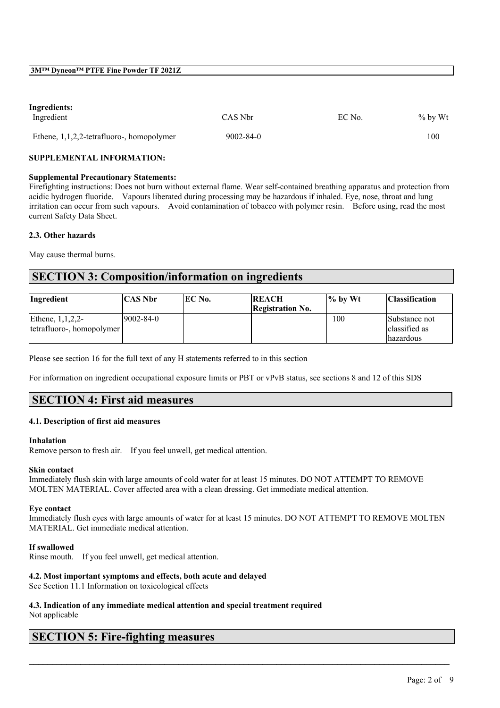## **Ingredients:**

| Ingredient                                   | CAS Nbr         | EC No. | $%$ by Wt |
|----------------------------------------------|-----------------|--------|-----------|
| Ethene, $1,1,2,2$ -tetrafluoro-, homopolymer | $9002 - 84 - 0$ |        | 100       |

### **SUPPLEMENTAL INFORMATION:**

#### **Supplemental Precautionary Statements:**

Firefighting instructions: Does not burn without external flame. Wear self-contained breathing apparatus and protection from acidic hydrogen fluoride. Vapours liberated during processing may be hazardous if inhaled. Eye, nose, throat and lung irritation can occur from such vapours. Avoid contamination of tobacco with polymer resin. Before using, read the most current Safety Data Sheet.

### **2.3. Other hazards**

May cause thermal burns.

# **SECTION 3: Composition/information on ingredients**

| Ingredient                | <b>CAS Nbr</b> | EC No. | <b>REACH</b><br><b>Registration No.</b> | $\frac{1}{6}$ by Wt | <b>Classification</b> |
|---------------------------|----------------|--------|-----------------------------------------|---------------------|-----------------------|
| Ethene, $1,1,2,2$         | 9002-84-0      |        |                                         | 100                 | Substance not         |
| tetrafluoro-, homopolymer |                |        |                                         |                     | classified as         |
|                           |                |        |                                         |                     | lhazardous            |

Please see section 16 for the full text of any H statements referred to in this section

For information on ingredient occupational exposure limits or PBT or vPvB status, see sections 8 and 12 of this SDS

## **SECTION 4: First aid measures**

## **4.1. Description of first aid measures**

#### **Inhalation**

Remove person to fresh air. If you feel unwell, get medical attention.

#### **Skin contact**

Immediately flush skin with large amounts of cold water for at least 15 minutes. DO NOT ATTEMPT TO REMOVE MOLTEN MATERIAL. Cover affected area with a clean dressing. Get immediate medical attention.

#### **Eye contact**

Immediately flush eyes with large amounts of water for at least 15 minutes. DO NOT ATTEMPT TO REMOVE MOLTEN MATERIAL. Get immediate medical attention.

 $\mathcal{L}_\mathcal{L} = \mathcal{L}_\mathcal{L} = \mathcal{L}_\mathcal{L} = \mathcal{L}_\mathcal{L} = \mathcal{L}_\mathcal{L} = \mathcal{L}_\mathcal{L} = \mathcal{L}_\mathcal{L} = \mathcal{L}_\mathcal{L} = \mathcal{L}_\mathcal{L} = \mathcal{L}_\mathcal{L} = \mathcal{L}_\mathcal{L} = \mathcal{L}_\mathcal{L} = \mathcal{L}_\mathcal{L} = \mathcal{L}_\mathcal{L} = \mathcal{L}_\mathcal{L} = \mathcal{L}_\mathcal{L} = \mathcal{L}_\mathcal{L}$ 

## **If swallowed**

Rinse mouth. If you feel unwell, get medical attention.

## **4.2. Most important symptoms and effects, both acute and delayed**

See Section 11.1 Information on toxicological effects

#### **4.3. Indication of any immediate medical attention and special treatment required** Not applicable

## **SECTION 5: Fire-fighting measures**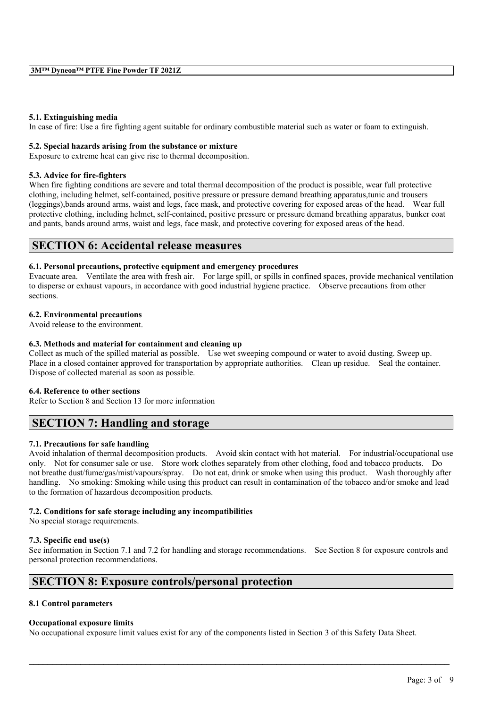#### **5.1. Extinguishing media**

In case of fire: Use a fire fighting agent suitable for ordinary combustible material such as water or foam to extinguish.

### **5.2. Special hazards arising from the substance or mixture**

Exposure to extreme heat can give rise to thermal decomposition.

### **5.3. Advice for fire-fighters**

When fire fighting conditions are severe and total thermal decomposition of the product is possible, wear full protective clothing, including helmet, self-contained, positive pressure or pressure demand breathing apparatus,tunic and trousers (leggings),bands around arms, waist and legs, face mask, and protective covering for exposed areas of the head. Wear full protective clothing, including helmet, self-contained, positive pressure or pressure demand breathing apparatus, bunker coat and pants, bands around arms, waist and legs, face mask, and protective covering for exposed areas of the head.

## **SECTION 6: Accidental release measures**

### **6.1. Personal precautions, protective equipment and emergency procedures**

Evacuate area. Ventilate the area with fresh air. For large spill, or spills in confined spaces, provide mechanical ventilation to disperse or exhaust vapours, in accordance with good industrial hygiene practice. Observe precautions from other sections.

## **6.2. Environmental precautions**

Avoid release to the environment.

## **6.3. Methods and material for containment and cleaning up**

Collect as much of the spilled material as possible. Use wet sweeping compound or water to avoid dusting. Sweep up. Place in a closed container approved for transportation by appropriate authorities. Clean up residue. Seal the container. Dispose of collected material as soon as possible.

## **6.4. Reference to other sections**

Refer to Section 8 and Section 13 for more information

## **SECTION 7: Handling and storage**

## **7.1. Precautions for safe handling**

Avoid inhalation of thermal decomposition products. Avoid skin contact with hot material. For industrial/occupational use only. Not for consumer sale or use. Store work clothes separately from other clothing, food and tobacco products. Do not breathe dust/fume/gas/mist/vapours/spray. Do not eat, drink or smoke when using this product. Wash thoroughly after handling. No smoking: Smoking while using this product can result in contamination of the tobacco and/or smoke and lead to the formation of hazardous decomposition products.

## **7.2. Conditions for safe storage including any incompatibilities**

No special storage requirements.

## **7.3. Specific end use(s)**

See information in Section 7.1 and 7.2 for handling and storage recommendations. See Section 8 for exposure controls and personal protection recommendations.

 $\mathcal{L}_\mathcal{L} = \mathcal{L}_\mathcal{L} = \mathcal{L}_\mathcal{L} = \mathcal{L}_\mathcal{L} = \mathcal{L}_\mathcal{L} = \mathcal{L}_\mathcal{L} = \mathcal{L}_\mathcal{L} = \mathcal{L}_\mathcal{L} = \mathcal{L}_\mathcal{L} = \mathcal{L}_\mathcal{L} = \mathcal{L}_\mathcal{L} = \mathcal{L}_\mathcal{L} = \mathcal{L}_\mathcal{L} = \mathcal{L}_\mathcal{L} = \mathcal{L}_\mathcal{L} = \mathcal{L}_\mathcal{L} = \mathcal{L}_\mathcal{L}$ 

## **SECTION 8: Exposure controls/personal protection**

## **8.1 Control parameters**

## **Occupational exposure limits**

No occupational exposure limit values exist for any of the components listed in Section 3 of this Safety Data Sheet.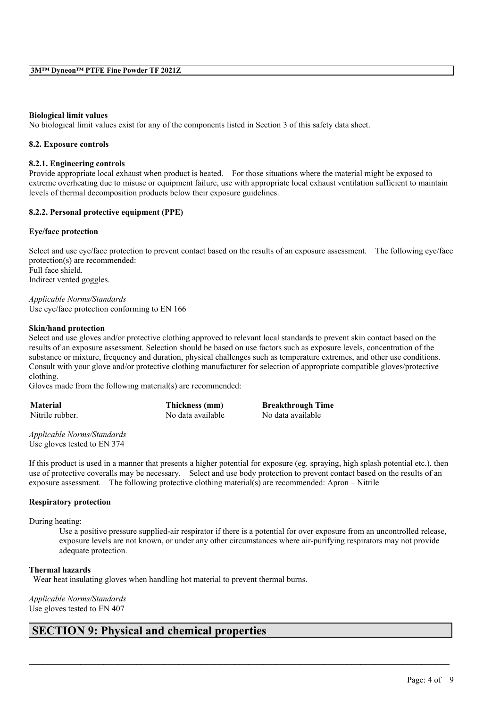### **Biological limit values**

No biological limit values exist for any of the components listed in Section 3 of this safety data sheet.

### **8.2. Exposure controls**

### **8.2.1. Engineering controls**

Provide appropriate local exhaust when product is heated. For those situations where the material might be exposed to extreme overheating due to misuse or equipment failure, use with appropriate local exhaust ventilation sufficient to maintain levels of thermal decomposition products below their exposure guidelines.

## **8.2.2. Personal protective equipment (PPE)**

#### **Eye/face protection**

Select and use eye/face protection to prevent contact based on the results of an exposure assessment. The following eye/face protection(s) are recommended: Full face shield. Indirect vented goggles.

*Applicable Norms/Standards* Use eye/face protection conforming to EN 166

#### **Skin/hand protection**

Select and use gloves and/or protective clothing approved to relevant local standards to prevent skin contact based on the results of an exposure assessment. Selection should be based on use factors such as exposure levels, concentration of the substance or mixture, frequency and duration, physical challenges such as temperature extremes, and other use conditions. Consult with your glove and/or protective clothing manufacturer for selection of appropriate compatible gloves/protective clothing.

Gloves made from the following material(s) are recommended:

| <b>Material</b> | Thickness (mm)    | <b>Breakthrough Time</b> |
|-----------------|-------------------|--------------------------|
| Nitrile rubber. | No data available | No data available        |

*Applicable Norms/Standards* Use gloves tested to EN 374

If this product is used in a manner that presents a higher potential for exposure (eg. spraying, high splash potential etc.), then use of protective coveralls may be necessary. Select and use body protection to prevent contact based on the results of an exposure assessment. The following protective clothing material(s) are recommended: Apron – Nitrile

 $\mathcal{L}_\mathcal{L} = \mathcal{L}_\mathcal{L} = \mathcal{L}_\mathcal{L} = \mathcal{L}_\mathcal{L} = \mathcal{L}_\mathcal{L} = \mathcal{L}_\mathcal{L} = \mathcal{L}_\mathcal{L} = \mathcal{L}_\mathcal{L} = \mathcal{L}_\mathcal{L} = \mathcal{L}_\mathcal{L} = \mathcal{L}_\mathcal{L} = \mathcal{L}_\mathcal{L} = \mathcal{L}_\mathcal{L} = \mathcal{L}_\mathcal{L} = \mathcal{L}_\mathcal{L} = \mathcal{L}_\mathcal{L} = \mathcal{L}_\mathcal{L}$ 

#### **Respiratory protection**

During heating:

Use a positive pressure supplied-air respirator if there is a potential for over exposure from an uncontrolled release, exposure levels are not known, or under any other circumstances where air-purifying respirators may not provide adequate protection.

## **Thermal hazards**

Wear heat insulating gloves when handling hot material to prevent thermal burns.

*Applicable Norms/Standards* Use gloves tested to EN 407

# **SECTION 9: Physical and chemical properties**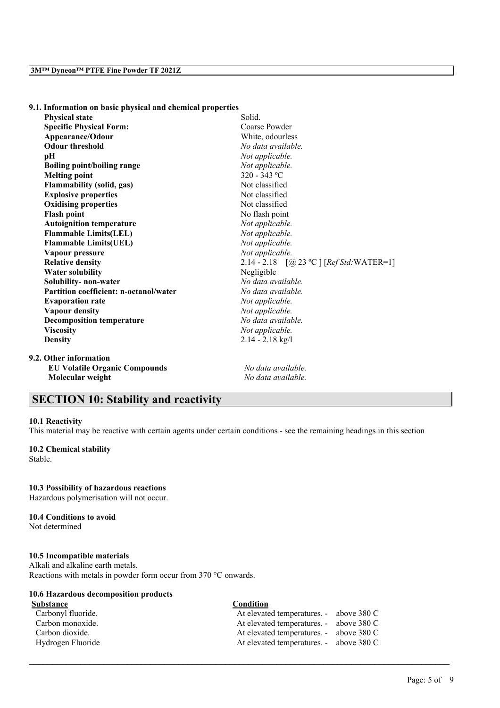| 9.1. Information on basic physical and chemical properties |  |  |  |  |  |  |
|------------------------------------------------------------|--|--|--|--|--|--|
|------------------------------------------------------------|--|--|--|--|--|--|

| <b>Physical state</b>                  | Solid.                                     |  |  |  |  |
|----------------------------------------|--------------------------------------------|--|--|--|--|
| <b>Specific Physical Form:</b>         | Coarse Powder                              |  |  |  |  |
| Appearance/Odour                       | White, odourless                           |  |  |  |  |
| <b>Odour threshold</b>                 | No data available.                         |  |  |  |  |
| pН                                     | Not applicable.                            |  |  |  |  |
| <b>Boiling point/boiling range</b>     | Not applicable.                            |  |  |  |  |
| <b>Melting point</b>                   | 320 - 343 °C                               |  |  |  |  |
| <b>Flammability (solid, gas)</b>       | Not classified                             |  |  |  |  |
| <b>Explosive properties</b>            | Not classified                             |  |  |  |  |
| <b>Oxidising properties</b>            | Not classified                             |  |  |  |  |
| <b>Flash point</b>                     | No flash point                             |  |  |  |  |
| <b>Autoignition temperature</b>        | Not applicable.                            |  |  |  |  |
| <b>Flammable Limits(LEL)</b>           | Not applicable.                            |  |  |  |  |
| <b>Flammable Limits(UEL)</b>           | Not applicable.                            |  |  |  |  |
| Vapour pressure                        | Not applicable.                            |  |  |  |  |
| <b>Relative density</b>                | 2.14 - 2.18 $[@ 23 °C] [Ref Std: WATER=1]$ |  |  |  |  |
| <b>Water solubility</b>                | Negligible                                 |  |  |  |  |
| Solubility-non-water                   | No data available.                         |  |  |  |  |
| Partition coefficient: n-octanol/water | No data available.                         |  |  |  |  |
| <b>Evaporation rate</b>                | Not applicable.                            |  |  |  |  |
| <b>Vapour density</b>                  | Not applicable.                            |  |  |  |  |
| <b>Decomposition temperature</b>       | No data available.                         |  |  |  |  |
| <b>Viscosity</b>                       | Not applicable.                            |  |  |  |  |
| <b>Density</b>                         | $2.14 - 2.18$ kg/l                         |  |  |  |  |
| 9.2. Other information                 |                                            |  |  |  |  |
| <b>EU Volatile Organic Compounds</b>   | No data available.                         |  |  |  |  |
| Molecular weight                       | No data available.                         |  |  |  |  |

## **SECTION 10: Stability and reactivity**

#### **10.1 Reactivity**

This material may be reactive with certain agents under certain conditions - see the remaining headings in this section

## **10.2 Chemical stability**

Stable.

## **10.3 Possibility of hazardous reactions**

Hazardous polymerisation will not occur.

# **10.4 Conditions to avoid**

Not determined

## **10.5 Incompatible materials**

Alkali and alkaline earth metals. Reactions with metals in powder form occur from 370 °C onwards.

## **10.6 Hazardous decomposition products**

## **Substance Condition** Carbonyl fluoride. At elevated temperatures. - above 380 C Carbon monoxide. At elevated temperatures. - above 380 C Carbon dioxide. At elevated temperatures. - above 380 C Hydrogen Fluoride At elevated temperatures. - above 380 C

 $\mathcal{L}_\mathcal{L} = \mathcal{L}_\mathcal{L} = \mathcal{L}_\mathcal{L} = \mathcal{L}_\mathcal{L} = \mathcal{L}_\mathcal{L} = \mathcal{L}_\mathcal{L} = \mathcal{L}_\mathcal{L} = \mathcal{L}_\mathcal{L} = \mathcal{L}_\mathcal{L} = \mathcal{L}_\mathcal{L} = \mathcal{L}_\mathcal{L} = \mathcal{L}_\mathcal{L} = \mathcal{L}_\mathcal{L} = \mathcal{L}_\mathcal{L} = \mathcal{L}_\mathcal{L} = \mathcal{L}_\mathcal{L} = \mathcal{L}_\mathcal{L}$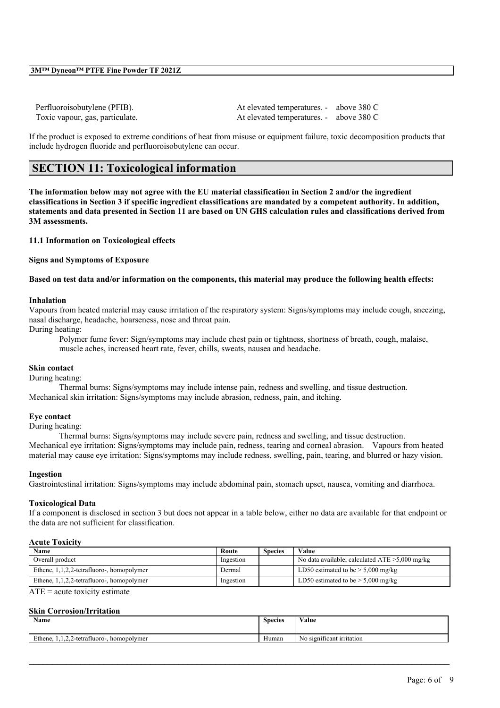Perfluoroisobutylene (PFIB). At elevated temperatures. - above 380 C Toxic vapour, gas, particulate. At elevated temperatures. - above 380 C

If the product is exposed to extreme conditions of heat from misuse or equipment failure, toxic decomposition products that include hydrogen fluoride and perfluoroisobutylene can occur.

# **SECTION 11: Toxicological information**

The information below may not agree with the EU material classification in Section 2 and/or the ingredient classifications in Section 3 if specific ingredient classifications are mandated by a competent authority. In addition, statements and data presented in Section 11 are based on UN GHS calculation rules and classifications derived from **3M assessments.**

## **11.1 Information on Toxicological effects**

**Signs and Symptoms of Exposure**

### Based on test data and/or information on the components, this material may produce the following health effects:

#### **Inhalation**

Vapours from heated material may cause irritation of the respiratory system: Signs/symptoms may include cough, sneezing, nasal discharge, headache, hoarseness, nose and throat pain.

During heating:

Polymer fume fever: Sign/symptoms may include chest pain or tightness, shortness of breath, cough, malaise, muscle aches, increased heart rate, fever, chills, sweats, nausea and headache.

#### **Skin contact**

During heating:

Thermal burns: Signs/symptoms may include intense pain, redness and swelling, and tissue destruction. Mechanical skin irritation: Signs/symptoms may include abrasion, redness, pain, and itching.

#### **Eye contact**

During heating:

Thermal burns: Signs/symptoms may include severe pain, redness and swelling, and tissue destruction. Mechanical eye irritation: Signs/symptoms may include pain, redness, tearing and corneal abrasion. Vapours from heated material may cause eye irritation: Signs/symptoms may include redness, swelling, pain, tearing, and blurred or hazy vision.

#### **Ingestion**

Gastrointestinal irritation: Signs/symptoms may include abdominal pain, stomach upset, nausea, vomiting and diarrhoea.

#### **Toxicological Data**

If a component is disclosed in section 3 but does not appear in a table below, either no data are available for that endpoint or the data are not sufficient for classification.

#### **Acute Toxicity**

| Name                                         | Route     | <b>Species</b> | Value                                             |
|----------------------------------------------|-----------|----------------|---------------------------------------------------|
| Overall product                              | Ingestion |                | No data available; calculated $ATE > 5,000$ mg/kg |
| Ethene, $1,1,2,2$ -tetrafluoro-, homopolymer | Dermal    |                | LD50 estimated to be $> 5,000$ mg/kg              |
| Ethene, $1,1,2,2$ -tetrafluoro-, homopolymer | Ingestion |                | LD50 estimated to be $> 5,000$ mg/kg              |

 $ATE = acute$  toxicity estimate

## **Skin Corrosion/Irritation**

| Name                                                         | <b>Species</b>        | Value                                   |
|--------------------------------------------------------------|-----------------------|-----------------------------------------|
| Ethene.<br>$\sim$<br>$1,1,2,2$ -tetrafluoro-.<br>homopolymer | $\mathbf{v}$<br>Human | $\sim$<br>significant irritation<br>N0. |

 $\mathcal{L}_\mathcal{L} = \mathcal{L}_\mathcal{L} = \mathcal{L}_\mathcal{L} = \mathcal{L}_\mathcal{L} = \mathcal{L}_\mathcal{L} = \mathcal{L}_\mathcal{L} = \mathcal{L}_\mathcal{L} = \mathcal{L}_\mathcal{L} = \mathcal{L}_\mathcal{L} = \mathcal{L}_\mathcal{L} = \mathcal{L}_\mathcal{L} = \mathcal{L}_\mathcal{L} = \mathcal{L}_\mathcal{L} = \mathcal{L}_\mathcal{L} = \mathcal{L}_\mathcal{L} = \mathcal{L}_\mathcal{L} = \mathcal{L}_\mathcal{L}$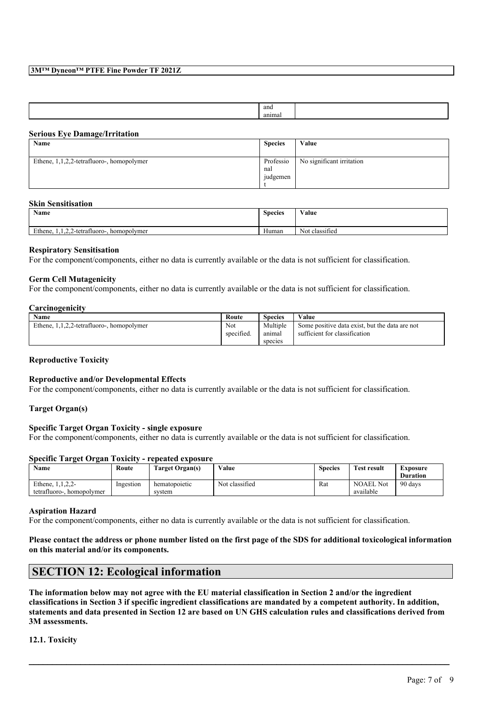### **3M™ Dyneon™ PTFE Fine Powder TF 2021Z**

| and  |  |
|------|--|
| anır |  |
|      |  |

#### **Serious Eye Damage/Irritation**

| Name                                         | <b>Species</b>               | Value                     |
|----------------------------------------------|------------------------------|---------------------------|
| Ethene, $1,1,2,2$ -tetrafluoro-, homopolymer | Professio<br>nal<br>judgemen | No significant irritation |

#### **Skin Sensitisation**

| <b>Name</b>                                                    | <b>Species</b> | Value                                            |
|----------------------------------------------------------------|----------------|--------------------------------------------------|
| Ethene,<br>$\sim$<br>$1, 1, 2, 2$ -tetrafluoro-<br>homopolymer | Human          | $\sim$ $\sim$<br>$\sim$ $\sim$<br>Not classified |

#### **Respiratory Sensitisation**

For the component/components, either no data is currently available or the data is not sufficient for classification.

## **Germ Cell Mutagenicity**

For the component/components, either no data is currently available or the data is not sufficient for classification.

#### **Carcinogenicity**

| Name                                         | Route      | Species  | Value                                          |
|----------------------------------------------|------------|----------|------------------------------------------------|
| Ethene.<br>1,1,2,2-tetrafluoro-, homopolymer | Not        | Multiple | Some positive data exist, but the data are not |
|                                              | specified. | anımal   | sufficient for classification                  |
|                                              |            | species  |                                                |

#### **Reproductive Toxicity**

#### **Reproductive and/or Developmental Effects**

For the component/components, either no data is currently available or the data is not sufficient for classification.

## **Target Organ(s)**

## **Specific Target Organ Toxicity - single exposure**

For the component/components, either no data is currently available or the data is not sufficient for classification.

#### **Specific Target Organ Toxicity - repeated exposure**

| <b>Name</b>                  | Route     | Target Organ(s) | Value          | <b>Species</b> | <b>Test result</b> | Exposure        |
|------------------------------|-----------|-----------------|----------------|----------------|--------------------|-----------------|
|                              |           |                 |                |                |                    | <b>Duration</b> |
| Ethene, 1.1.2.2-             | Ingestion | hematopoietic   | Not classified | Rat            | <b>NOAEL Not</b>   | 90 days         |
| tetrafluoro-.<br>homopolymer |           | system          |                |                | available          |                 |

#### **Aspiration Hazard**

For the component/components, either no data is currently available or the data is not sufficient for classification.

Please contact the address or phone number listed on the first page of the SDS for additional toxicological information **on this material and/or its components.**

## **SECTION 12: Ecological information**

The information below may not agree with the EU material classification in Section 2 and/or the ingredient classifications in Section 3 if specific ingredient classifications are mandated by a competent authority. In addition, statements and data presented in Section 12 are based on UN GHS calculation rules and classifications derived from **3M assessments.**

 $\mathcal{L}_\mathcal{L} = \mathcal{L}_\mathcal{L} = \mathcal{L}_\mathcal{L} = \mathcal{L}_\mathcal{L} = \mathcal{L}_\mathcal{L} = \mathcal{L}_\mathcal{L} = \mathcal{L}_\mathcal{L} = \mathcal{L}_\mathcal{L} = \mathcal{L}_\mathcal{L} = \mathcal{L}_\mathcal{L} = \mathcal{L}_\mathcal{L} = \mathcal{L}_\mathcal{L} = \mathcal{L}_\mathcal{L} = \mathcal{L}_\mathcal{L} = \mathcal{L}_\mathcal{L} = \mathcal{L}_\mathcal{L} = \mathcal{L}_\mathcal{L}$ 

**12.1. Toxicity**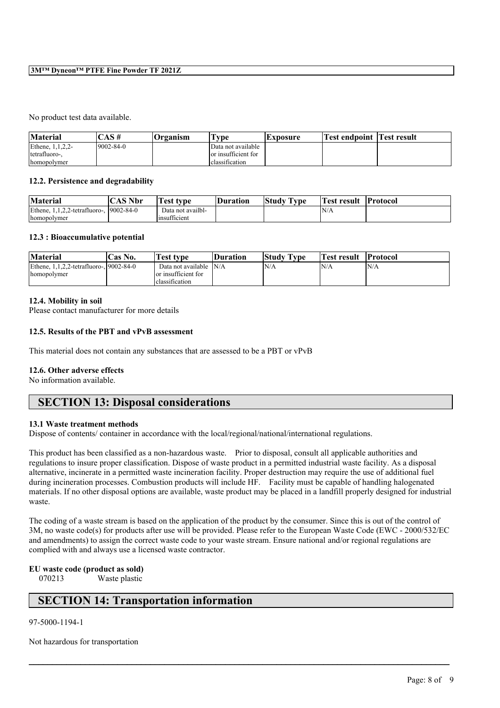### **3M™ Dyneon™ PTFE Fine Powder TF 2021Z**

#### No product test data available.

| <b>Material</b>     | AS#              | Organism | vpe                 | <b>Lxposure</b> | Test endpoint  Test result |  |
|---------------------|------------------|----------|---------------------|-----------------|----------------------------|--|
| Ethene, 1, 1, 2, 2- | $19002 - 84 - 0$ |          | Data not available  |                 |                            |  |
| tetrafluoro-.       |                  |          | or insufficient for |                 |                            |  |
| homopolymer         |                  |          | classification      |                 |                            |  |

### **12.2. Persistence and degradability**

| <b>Material</b>                          | 'CAS Nbr | rest type         | <b>Duration</b> | <b>Study Type</b> | Test result | <b>Protocol</b> |
|------------------------------------------|----------|-------------------|-----------------|-------------------|-------------|-----------------|
| Ethene, 1,1,2,2-tetrafluoro-, 19002-84-0 |          | Data not availbl- |                 |                   | N/A         |                 |
| homopolymer                              |          | Insufficient      |                 |                   |             |                 |

### **12.3 : Bioaccumulative potential**

| <b>Material</b>                                         | <b>Cas No.</b> | Test type                                                    | <b>Duration</b> | <b>Study Type</b> | Test result | <b>Protocol</b> |
|---------------------------------------------------------|----------------|--------------------------------------------------------------|-----------------|-------------------|-------------|-----------------|
| Ethene, 1,1,2,2-tetrafluoro-, 19002-84-0<br>homopolymer |                | Data not available<br>or insufficient for<br>lclassification | N/A             | N/A               | 'N/A        | N/A             |

## **12.4. Mobility in soil**

Please contact manufacturer for more details

### **12.5. Results of the PBT and vPvB assessment**

This material does not contain any substances that are assessed to be a PBT or vPvB

## **12.6. Other adverse effects**

No information available.

## **SECTION 13: Disposal considerations**

#### **13.1 Waste treatment methods**

Dispose of contents/ container in accordance with the local/regional/national/international regulations.

This product has been classified as a non-hazardous waste. Prior to disposal, consult all applicable authorities and regulations to insure proper classification. Dispose of waste product in a permitted industrial waste facility. As a disposal alternative, incinerate in a permitted waste incineration facility. Proper destruction may require the use of additional fuel during incineration processes. Combustion products will include HF. Facility must be capable of handling halogenated materials. If no other disposal options are available, waste product may be placed in a landfill properly designed for industrial waste.

The coding of a waste stream is based on the application of the product by the consumer. Since this is out of the control of 3M, no waste code(s) for products after use will be provided. Please refer to the European Waste Code (EWC - 2000/532/EC and amendments) to assign the correct waste code to your waste stream. Ensure national and/or regional regulations are complied with and always use a licensed waste contractor.

 $\mathcal{L}_\mathcal{L} = \mathcal{L}_\mathcal{L} = \mathcal{L}_\mathcal{L} = \mathcal{L}_\mathcal{L} = \mathcal{L}_\mathcal{L} = \mathcal{L}_\mathcal{L} = \mathcal{L}_\mathcal{L} = \mathcal{L}_\mathcal{L} = \mathcal{L}_\mathcal{L} = \mathcal{L}_\mathcal{L} = \mathcal{L}_\mathcal{L} = \mathcal{L}_\mathcal{L} = \mathcal{L}_\mathcal{L} = \mathcal{L}_\mathcal{L} = \mathcal{L}_\mathcal{L} = \mathcal{L}_\mathcal{L} = \mathcal{L}_\mathcal{L}$ 

## **EU waste code (product as sold)**

070213 Waste plastic

## **SECTION 14: Transportation information**

### 97-5000-1194-1

Not hazardous for transportation